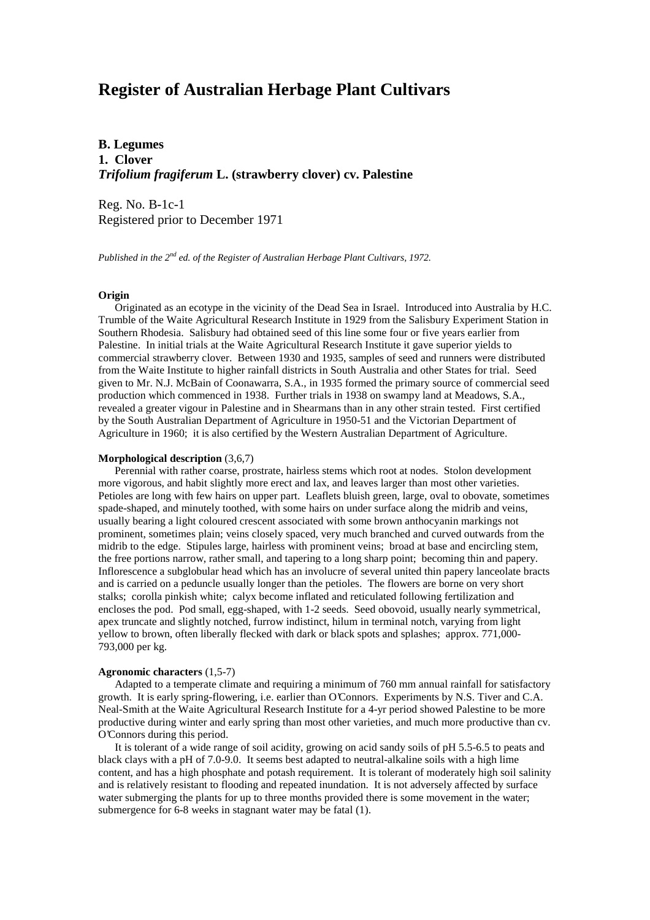# **Register of Australian Herbage Plant Cultivars**

**B. Legumes 1. Clover** *Trifolium fragiferum* **L. (strawberry clover) cv. Palestine**

Reg. No. B-1c-1 Registered prior to December 1971

*Published in the 2nd ed. of the Register of Australian Herbage Plant Cultivars, 1972.*

## **Origin**

 Originated as an ecotype in the vicinity of the Dead Sea in Israel. Introduced into Australia by H.C. Trumble of the Waite Agricultural Research Institute in 1929 from the Salisbury Experiment Station in Southern Rhodesia. Salisbury had obtained seed of this line some four or five years earlier from Palestine. In initial trials at the Waite Agricultural Research Institute it gave superior yields to commercial strawberry clover. Between 1930 and 1935, samples of seed and runners were distributed from the Waite Institute to higher rainfall districts in South Australia and other States for trial. Seed given to Mr. N.J. McBain of Coonawarra, S.A., in 1935 formed the primary source of commercial seed production which commenced in 1938. Further trials in 1938 on swampy land at Meadows, S.A., revealed a greater vigour in Palestine and in Shearmans than in any other strain tested. First certified by the South Australian Department of Agriculture in 1950-51 and the Victorian Department of Agriculture in 1960; it is also certified by the Western Australian Department of Agriculture.

#### **Morphological description** (3,6,7)

 Perennial with rather coarse, prostrate, hairless stems which root at nodes. Stolon development more vigorous, and habit slightly more erect and lax, and leaves larger than most other varieties. Petioles are long with few hairs on upper part. Leaflets bluish green, large, oval to obovate, sometimes spade-shaped, and minutely toothed, with some hairs on under surface along the midrib and veins, usually bearing a light coloured crescent associated with some brown anthocyanin markings not prominent, sometimes plain; veins closely spaced, very much branched and curved outwards from the midrib to the edge. Stipules large, hairless with prominent veins; broad at base and encircling stem, the free portions narrow, rather small, and tapering to a long sharp point; becoming thin and papery. Inflorescence a subglobular head which has an involucre of several united thin papery lanceolate bracts and is carried on a peduncle usually longer than the petioles. The flowers are borne on very short stalks; corolla pinkish white; calyx become inflated and reticulated following fertilization and encloses the pod. Pod small, egg-shaped, with 1-2 seeds. Seed obovoid, usually nearly symmetrical, apex truncate and slightly notched, furrow indistinct, hilum in terminal notch, varying from light yellow to brown, often liberally flecked with dark or black spots and splashes; approx. 771,000- 793,000 per kg.

#### **Agronomic characters** (1,5-7)

 Adapted to a temperate climate and requiring a minimum of 760 mm annual rainfall for satisfactory growth. It is early spring-flowering, i.e. earlier than O'Connors. Experiments by N.S. Tiver and C.A. Neal-Smith at the Waite Agricultural Research Institute for a 4-yr period showed Palestine to be more productive during winter and early spring than most other varieties, and much more productive than cv. O'Connors during this period.

 It is tolerant of a wide range of soil acidity, growing on acid sandy soils of pH 5.5-6.5 to peats and black clays with a pH of 7.0-9.0. It seems best adapted to neutral-alkaline soils with a high lime content, and has a high phosphate and potash requirement. It is tolerant of moderately high soil salinity and is relatively resistant to flooding and repeated inundation. It is not adversely affected by surface water submerging the plants for up to three months provided there is some movement in the water; submergence for 6-8 weeks in stagnant water may be fatal (1).